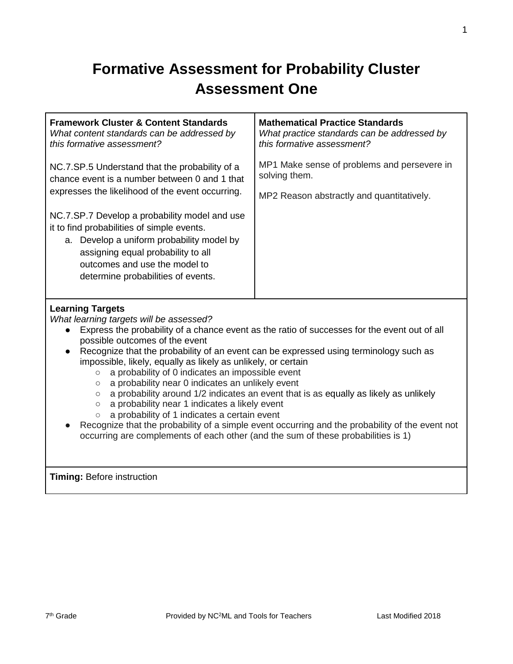# **Formative Assessment for Probability Cluster Assessment One**

| <b>Framework Cluster &amp; Content Standards</b>                                                                                                                                                                                                      | <b>Mathematical Practice Standards</b>      |
|-------------------------------------------------------------------------------------------------------------------------------------------------------------------------------------------------------------------------------------------------------|---------------------------------------------|
| What content standards can be addressed by                                                                                                                                                                                                            | What practice standards can be addressed by |
| this formative assessment?                                                                                                                                                                                                                            | this formative assessment?                  |
| NC.7.SP.5 Understand that the probability of a                                                                                                                                                                                                        | MP1 Make sense of problems and persevere in |
| chance event is a number between 0 and 1 that                                                                                                                                                                                                         | solving them.                               |
| expresses the likelihood of the event occurring.                                                                                                                                                                                                      | MP2 Reason abstractly and quantitatively.   |
| NC.7.SP.7 Develop a probability model and use<br>it to find probabilities of simple events.<br>a. Develop a uniform probability model by<br>assigning equal probability to all<br>outcomes and use the model to<br>determine probabilities of events. |                                             |

#### **Learning Targets**

*What learning targets will be assessed?*

- Express the probability of a chance event as the ratio of successes for the event out of all possible outcomes of the event
- Recognize that the probability of an event can be expressed using terminology such as impossible, likely, equally as likely as unlikely, or certain
	- a probability of 0 indicates an impossible event
	- a probability near 0 indicates an unlikely event
	- a probability around 1/2 indicates an event that is as equally as likely as unlikely
	- a probability near 1 indicates a likely event
	- a probability of 1 indicates a certain event
- Recognize that the probability of a simple event occurring and the probability of the event not occurring are complements of each other (and the sum of these probabilities is 1)

**Timing:** Before instruction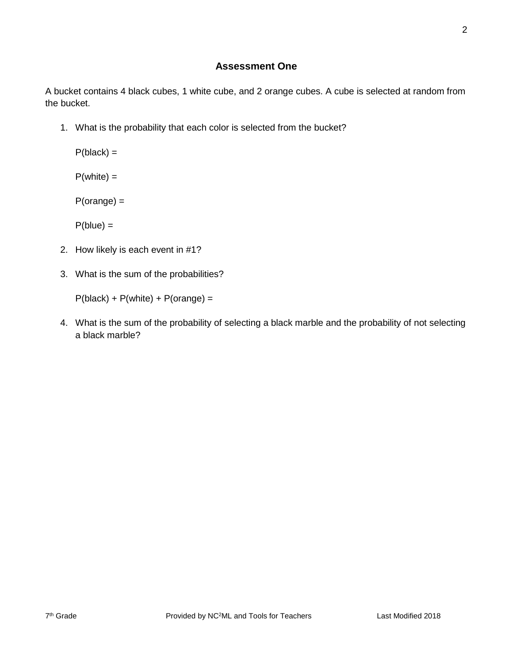#### **Assessment One**

A bucket contains 4 black cubes, 1 white cube, and 2 orange cubes. A cube is selected at random from the bucket.

1. What is the probability that each color is selected from the bucket?

 $P(black) =$ 

 $P(white) =$ 

P(orange) =

 $P(blue) =$ 

- 2. How likely is each event in #1?
- 3. What is the sum of the probabilities?

 $P(black) + P(while) + P(orange) =$ 

4. What is the sum of the probability of selecting a black marble and the probability of not selecting a black marble?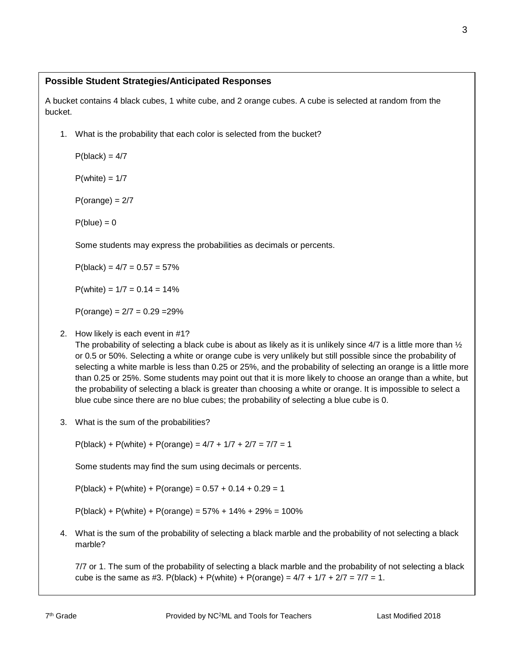A bucket contains 4 black cubes, 1 white cube, and 2 orange cubes. A cube is selected at random from the bucket.

1. What is the probability that each color is selected from the bucket?

 $P(black) = 4/7$ 

 $P(white) = 1/7$ 

 $P(orange) = 2/7$ 

 $P(blue) = 0$ 

Some students may express the probabilities as decimals or percents.

 $P(black) = 4/7 = 0.57 = 57\%$ 

 $P(white) = 1/7 = 0.14 = 14%$ 

 $P(orange) = 2/7 = 0.29 = 29\%$ 

#### 2. How likely is each event in #1?

The probability of selecting a black cube is about as likely as it is unlikely since  $4/7$  is a little more than  $\frac{1}{2}$ or 0.5 or 50%. Selecting a white or orange cube is very unlikely but still possible since the probability of selecting a white marble is less than 0.25 or 25%, and the probability of selecting an orange is a little more than 0.25 or 25%. Some students may point out that it is more likely to choose an orange than a white, but the probability of selecting a black is greater than choosing a white or orange. It is impossible to select a blue cube since there are no blue cubes; the probability of selecting a blue cube is 0.

3. What is the sum of the probabilities?

 $P(black) + P(while) + P(orange) = 4/7 + 1/7 + 2/7 = 7/7 = 1$ 

Some students may find the sum using decimals or percents.

 $P(black) + P(while) + P(orange) = 0.57 + 0.14 + 0.29 = 1$ 

 $P(black) + P(while) + P(orange) = 57% + 14% + 29% = 100%$ 

4. What is the sum of the probability of selecting a black marble and the probability of not selecting a black marble?

7/7 or 1. The sum of the probability of selecting a black marble and the probability of not selecting a black cube is the same as #3. P(black) + P(white) + P(orange) =  $4/7 + 1/7 + 2/7 = 7/7 = 1$ .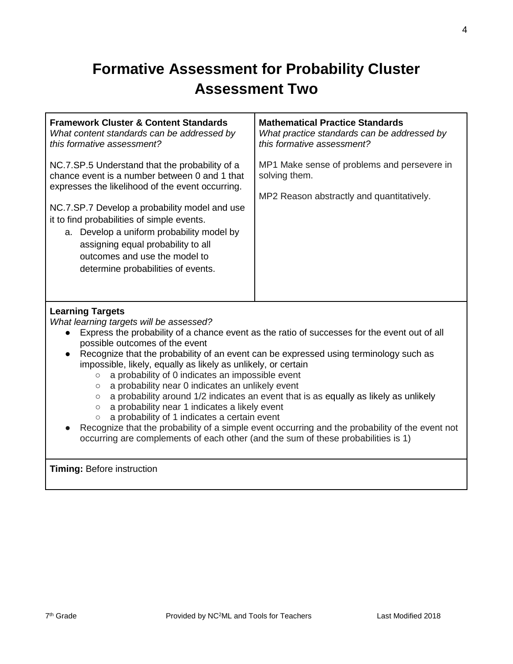# **Formative Assessment for Probability Cluster Assessment Two**

| <b>Framework Cluster &amp; Content Standards</b><br>What content standards can be addressed by<br>this formative assessment?                                                                                                                                                                                                                                                                                 | <b>Mathematical Practice Standards</b><br>What practice standards can be addressed by<br>this formative assessment? |
|--------------------------------------------------------------------------------------------------------------------------------------------------------------------------------------------------------------------------------------------------------------------------------------------------------------------------------------------------------------------------------------------------------------|---------------------------------------------------------------------------------------------------------------------|
| NC.7.SP.5 Understand that the probability of a<br>chance event is a number between 0 and 1 that<br>expresses the likelihood of the event occurring.<br>NC.7.SP.7 Develop a probability model and use<br>it to find probabilities of simple events.<br>a. Develop a uniform probability model by<br>assigning equal probability to all<br>outcomes and use the model to<br>determine probabilities of events. | MP1 Make sense of problems and persevere in<br>solving them.<br>MP2 Reason abstractly and quantitatively.           |
| <b>Learning Targets</b>                                                                                                                                                                                                                                                                                                                                                                                      |                                                                                                                     |

*What learning targets will be assessed?*

- Express the probability of a chance event as the ratio of successes for the event out of all possible outcomes of the event
- Recognize that the probability of an event can be expressed using terminology such as impossible, likely, equally as likely as unlikely, or certain
	- a probability of 0 indicates an impossible event
	- a probability near 0 indicates an unlikely event
	- a probability around 1/2 indicates an event that is as equally as likely as unlikely
	- a probability near 1 indicates a likely event
	- a probability of 1 indicates a certain event
- Recognize that the probability of a simple event occurring and the probability of the event not occurring are complements of each other (and the sum of these probabilities is 1)

**Timing:** Before instruction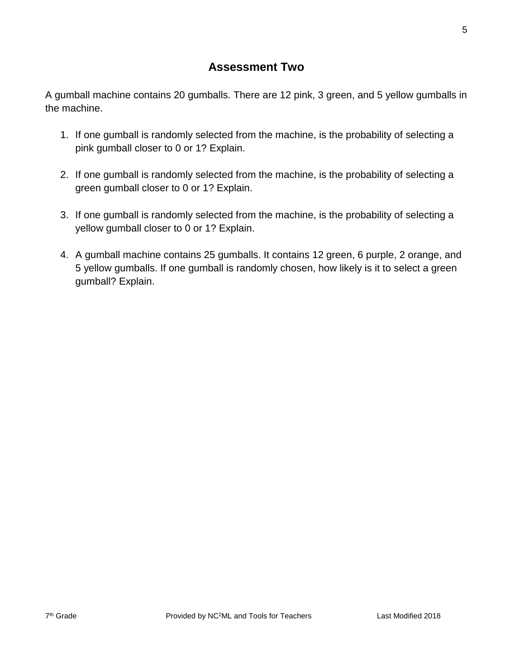## **Assessment Two**

A gumball machine contains 20 gumballs. There are 12 pink, 3 green, and 5 yellow gumballs in the machine.

- 1. If one gumball is randomly selected from the machine, is the probability of selecting a pink gumball closer to 0 or 1? Explain.
- 2. If one gumball is randomly selected from the machine, is the probability of selecting a green gumball closer to 0 or 1? Explain.
- 3. If one gumball is randomly selected from the machine, is the probability of selecting a yellow gumball closer to 0 or 1? Explain.
- 4. A gumball machine contains 25 gumballs. It contains 12 green, 6 purple, 2 orange, and 5 yellow gumballs. If one gumball is randomly chosen, how likely is it to select a green gumball? Explain.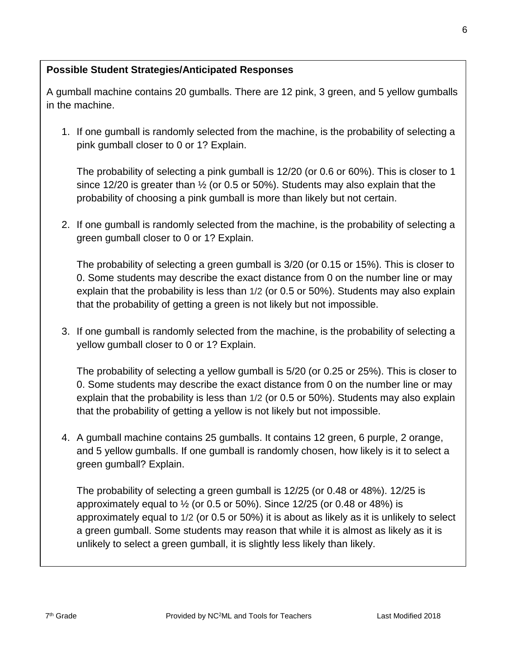A gumball machine contains 20 gumballs. There are 12 pink, 3 green, and 5 yellow gumballs in the machine.

1. If one gumball is randomly selected from the machine, is the probability of selecting a pink gumball closer to 0 or 1? Explain.

The probability of selecting a pink gumball is 12/20 (or 0.6 or 60%). This is closer to 1 since 12/20 is greater than  $\frac{1}{2}$  (or 0.5 or 50%). Students may also explain that the probability of choosing a pink gumball is more than likely but not certain.

2. If one gumball is randomly selected from the machine, is the probability of selecting a green gumball closer to 0 or 1? Explain.

The probability of selecting a green gumball is 3/20 (or 0.15 or 15%). This is closer to 0. Some students may describe the exact distance from 0 on the number line or may explain that the probability is less than 1/2 (or 0.5 or 50%). Students may also explain that the probability of getting a green is not likely but not impossible.

3. If one gumball is randomly selected from the machine, is the probability of selecting a yellow gumball closer to 0 or 1? Explain.

The probability of selecting a yellow gumball is 5/20 (or 0.25 or 25%). This is closer to 0. Some students may describe the exact distance from 0 on the number line or may explain that the probability is less than 1/2 (or 0.5 or 50%). Students may also explain that the probability of getting a yellow is not likely but not impossible.

4. A gumball machine contains 25 gumballs. It contains 12 green, 6 purple, 2 orange, and 5 yellow gumballs. If one gumball is randomly chosen, how likely is it to select a green gumball? Explain.

The probability of selecting a green gumball is 12/25 (or 0.48 or 48%). 12/25 is approximately equal to  $\frac{1}{2}$  (or 0.5 or 50%). Since 12/25 (or 0.48 or 48%) is approximately equal to 1/2 (or 0.5 or 50%) it is about as likely as it is unlikely to select a green gumball. Some students may reason that while it is almost as likely as it is unlikely to select a green gumball, it is slightly less likely than likely.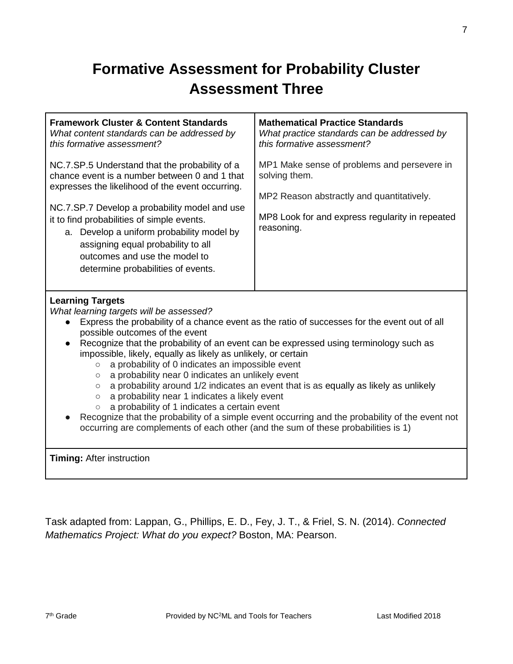# **Formative Assessment for Probability Cluster Assessment Three**

| <b>Framework Cluster &amp; Content Standards</b><br>What content standards can be addressed by<br>this formative assessment?                                                                                                                                                                                                                                                                                                                                                                                                                                                                                                                                                                                                                                                                                                                                                                                   | <b>Mathematical Practice Standards</b><br>What practice standards can be addressed by<br>this formative assessment?                                                        |  |  |
|----------------------------------------------------------------------------------------------------------------------------------------------------------------------------------------------------------------------------------------------------------------------------------------------------------------------------------------------------------------------------------------------------------------------------------------------------------------------------------------------------------------------------------------------------------------------------------------------------------------------------------------------------------------------------------------------------------------------------------------------------------------------------------------------------------------------------------------------------------------------------------------------------------------|----------------------------------------------------------------------------------------------------------------------------------------------------------------------------|--|--|
| NC.7.SP.5 Understand that the probability of a<br>chance event is a number between 0 and 1 that<br>expresses the likelihood of the event occurring.<br>NC.7.SP.7 Develop a probability model and use<br>it to find probabilities of simple events.<br>a. Develop a uniform probability model by<br>assigning equal probability to all<br>outcomes and use the model to<br>determine probabilities of events.                                                                                                                                                                                                                                                                                                                                                                                                                                                                                                   | MP1 Make sense of problems and persevere in<br>solving them.<br>MP2 Reason abstractly and quantitatively.<br>MP8 Look for and express regularity in repeated<br>reasoning. |  |  |
| <b>Learning Targets</b><br>What learning targets will be assessed?<br>Express the probability of a chance event as the ratio of successes for the event out of all<br>possible outcomes of the event<br>Recognize that the probability of an event can be expressed using terminology such as<br>impossible, likely, equally as likely as unlikely, or certain<br>a probability of 0 indicates an impossible event<br>$\circ$<br>a probability near 0 indicates an unlikely event<br>$\circ$<br>a probability around 1/2 indicates an event that is as equally as likely as unlikely<br>$\circ$<br>a probability near 1 indicates a likely event<br>$\circ$<br>a probability of 1 indicates a certain event<br>$\circ$<br>Recognize that the probability of a simple event occurring and the probability of the event not<br>occurring are complements of each other (and the sum of these probabilities is 1) |                                                                                                                                                                            |  |  |
| Timing: After instruction                                                                                                                                                                                                                                                                                                                                                                                                                                                                                                                                                                                                                                                                                                                                                                                                                                                                                      |                                                                                                                                                                            |  |  |

Task adapted from: Lappan, G., Phillips, E. D., Fey, J. T., & Friel, S. N. (2014). *Connected Mathematics Project: What do you expect?* Boston, MA: Pearson.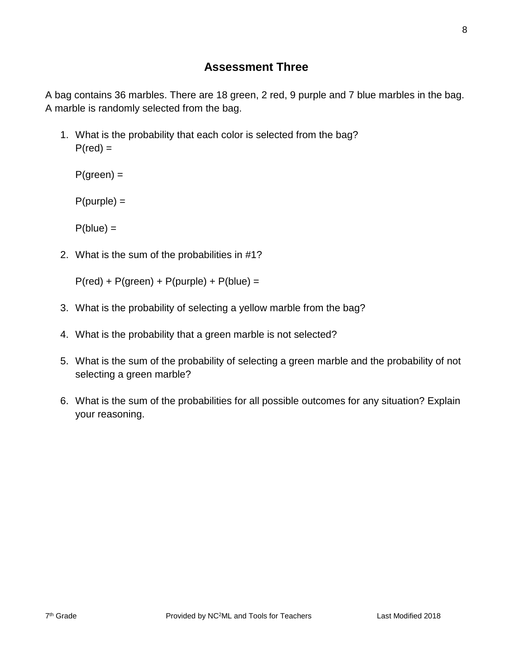## **Assessment Three**

A bag contains 36 marbles. There are 18 green, 2 red, 9 purple and 7 blue marbles in the bag. A marble is randomly selected from the bag.

1. What is the probability that each color is selected from the bag?  $P(\text{red}) =$ 

 $P(green) =$ 

 $P(purple) =$ 

 $P(blue) =$ 

2. What is the sum of the probabilities in #1?

 $P(\text{red}) + P(\text{green}) + P(\text{purple}) + P(\text{blue}) =$ 

- 3. What is the probability of selecting a yellow marble from the bag?
- 4. What is the probability that a green marble is not selected?
- 5. What is the sum of the probability of selecting a green marble and the probability of not selecting a green marble?
- 6. What is the sum of the probabilities for all possible outcomes for any situation? Explain your reasoning.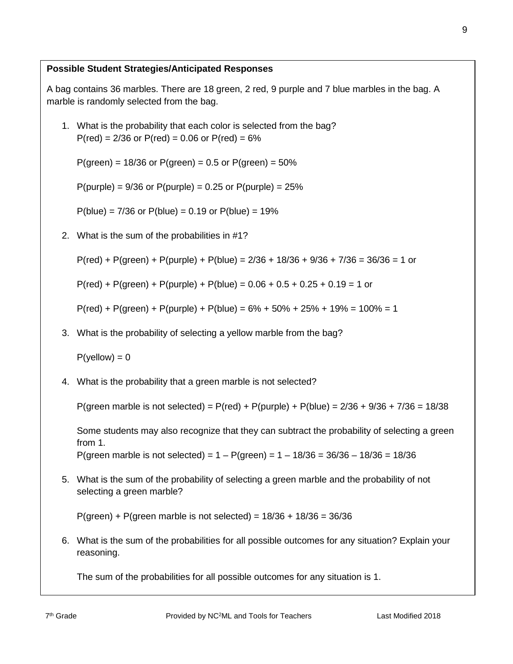A bag contains 36 marbles. There are 18 green, 2 red, 9 purple and 7 blue marbles in the bag. A marble is randomly selected from the bag.

1. What is the probability that each color is selected from the bag?  $P(\text{red}) = 2/36$  or  $P(\text{red}) = 0.06$  or  $P(\text{red}) = 6\%$ 

 $P(green) = 18/36$  or  $P(green) = 0.5$  or  $P(green) = 50%$ 

 $P(purple) = 9/36$  or  $P(purple) = 0.25$  or  $P(purple) = 25%$ 

 $P(blue) = 7/36$  or  $P(blue) = 0.19$  or  $P(blue) = 19%$ 

2. What is the sum of the probabilities in #1?

 $P(\text{red}) + P(\text{green}) + P(\text{purple}) + P(\text{blue}) = 2/36 + 18/36 + 9/36 + 7/36 = 36/36 = 1$  or

 $P(\text{red}) + P(\text{green}) + P(\text{purple}) + P(\text{blue}) = 0.06 + 0.5 + 0.25 + 0.19 = 1$  or

 $P(\text{red}) + P(\text{green}) + P(\text{purple}) + P(\text{blue}) = 6\% + 50\% + 25\% + 19\% = 100\% = 1$ 

3. What is the probability of selecting a yellow marble from the bag?

 $P$ (yellow) = 0

4. What is the probability that a green marble is not selected?

P(green marble is not selected) = P(red) + P(purple) + P(blue) = 2/36 + 9/36 + 7/36 = 18/38

Some students may also recognize that they can subtract the probability of selecting a green from 1.

P(green marble is not selected) =  $1 - P$ (green) =  $1 - 18/36 = 36/36 - 18/36 = 18/36$ 

5. What is the sum of the probability of selecting a green marble and the probability of not selecting a green marble?

 $P(green) + P(green marble is not selected) = 18/36 + 18/36 = 36/36$ 

6. What is the sum of the probabilities for all possible outcomes for any situation? Explain your reasoning.

The sum of the probabilities for all possible outcomes for any situation is 1.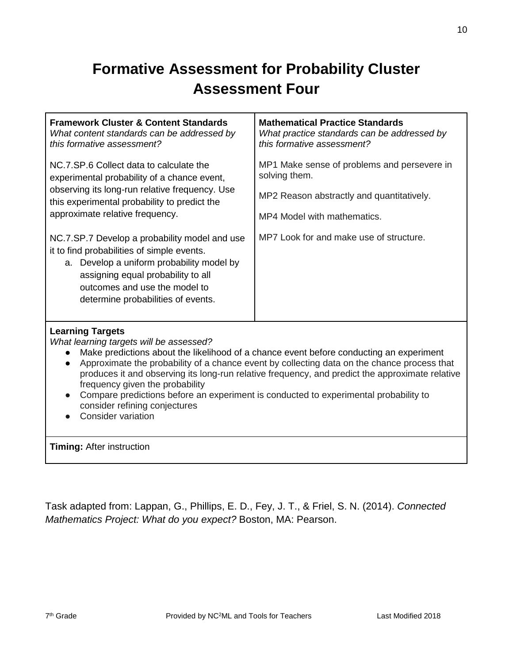# **Formative Assessment for Probability Cluster Assessment Four**

| <b>Framework Cluster &amp; Content Standards</b><br>What content standards can be addressed by<br>this formative assessment?                                                                                                                                                                                                                                                                                                                                                                                                                                   | <b>Mathematical Practice Standards</b><br>What practice standards can be addressed by<br>this formative assessment? |  |  |  |
|----------------------------------------------------------------------------------------------------------------------------------------------------------------------------------------------------------------------------------------------------------------------------------------------------------------------------------------------------------------------------------------------------------------------------------------------------------------------------------------------------------------------------------------------------------------|---------------------------------------------------------------------------------------------------------------------|--|--|--|
| NC.7.SP.6 Collect data to calculate the<br>experimental probability of a chance event,                                                                                                                                                                                                                                                                                                                                                                                                                                                                         | MP1 Make sense of problems and persevere in<br>solving them.                                                        |  |  |  |
| observing its long-run relative frequency. Use<br>this experimental probability to predict the                                                                                                                                                                                                                                                                                                                                                                                                                                                                 | MP2 Reason abstractly and quantitatively.                                                                           |  |  |  |
| approximate relative frequency.                                                                                                                                                                                                                                                                                                                                                                                                                                                                                                                                | MP4 Model with mathematics.                                                                                         |  |  |  |
| NC.7.SP.7 Develop a probability model and use<br>it to find probabilities of simple events.<br>a. Develop a uniform probability model by<br>assigning equal probability to all<br>outcomes and use the model to<br>determine probabilities of events.                                                                                                                                                                                                                                                                                                          | MP7 Look for and make use of structure.                                                                             |  |  |  |
| <b>Learning Targets</b><br>What learning targets will be assessed?<br>Make predictions about the likelihood of a chance event before conducting an experiment<br>Approximate the probability of a chance event by collecting data on the chance process that<br>$\bullet$<br>produces it and observing its long-run relative frequency, and predict the approximate relative<br>frequency given the probability<br>Compare predictions before an experiment is conducted to experimental probability to<br>consider refining conjectures<br>Consider variation |                                                                                                                     |  |  |  |
| <b>Timing: After instruction</b>                                                                                                                                                                                                                                                                                                                                                                                                                                                                                                                               |                                                                                                                     |  |  |  |

Task adapted from: Lappan, G., Phillips, E. D., Fey, J. T., & Friel, S. N. (2014). *Connected Mathematics Project: What do you expect?* Boston, MA: Pearson.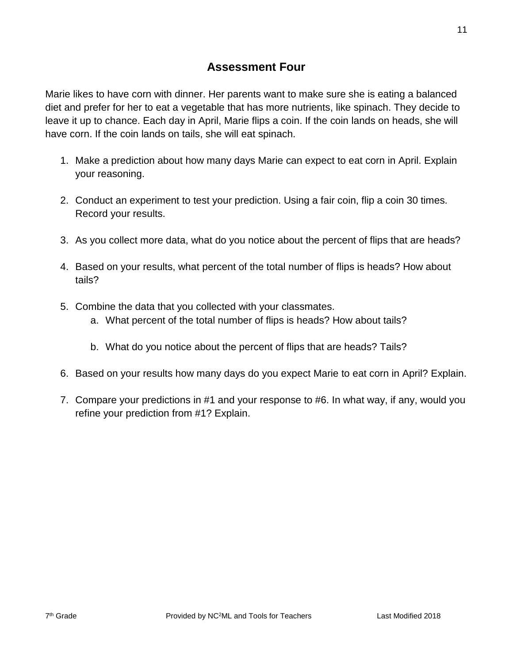Marie likes to have corn with dinner. Her parents want to make sure she is eating a balanced diet and prefer for her to eat a vegetable that has more nutrients, like spinach. They decide to leave it up to chance. Each day in April, Marie flips a coin. If the coin lands on heads, she will have corn. If the coin lands on tails, she will eat spinach.

- 1. Make a prediction about how many days Marie can expect to eat corn in April. Explain your reasoning.
- 2. Conduct an experiment to test your prediction. Using a fair coin, flip a coin 30 times. Record your results.
- 3. As you collect more data, what do you notice about the percent of flips that are heads?
- 4. Based on your results, what percent of the total number of flips is heads? How about tails?
- 5. Combine the data that you collected with your classmates.
	- a. What percent of the total number of flips is heads? How about tails?
	- b. What do you notice about the percent of flips that are heads? Tails?
- 6. Based on your results how many days do you expect Marie to eat corn in April? Explain.
- 7. Compare your predictions in #1 and your response to #6. In what way, if any, would you refine your prediction from #1? Explain.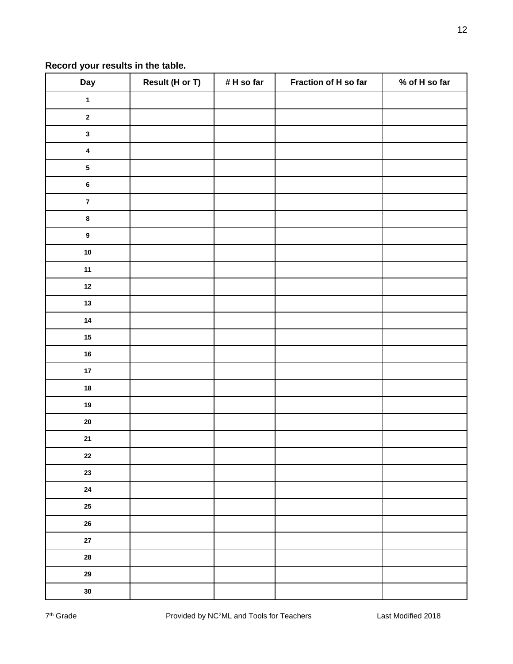#### **Record your results in the table.**

| Day                     | Result (H or T) | # H so far | Fraction of H so far | $%$ of H so far |
|-------------------------|-----------------|------------|----------------------|-----------------|
| $\mathbf{1}$            |                 |            |                      |                 |
| $\mathbf 2$             |                 |            |                      |                 |
| $\mathbf{3}$            |                 |            |                      |                 |
| $\overline{\mathbf{4}}$ |                 |            |                      |                 |
| ${\bf 5}$               |                 |            |                      |                 |
| $\bf 6$                 |                 |            |                      |                 |
| $\overline{\mathbf{7}}$ |                 |            |                      |                 |
| $\pmb{8}$               |                 |            |                      |                 |
| $\boldsymbol{9}$        |                 |            |                      |                 |
| ${\bf 10}$              |                 |            |                      |                 |
| $11$                    |                 |            |                      |                 |
| $12$                    |                 |            |                      |                 |
| $13$                    |                 |            |                      |                 |
| 14                      |                 |            |                      |                 |
| 15                      |                 |            |                      |                 |
| ${\bf 16}$              |                 |            |                      |                 |
| $17\,$                  |                 |            |                      |                 |
| ${\bf 18}$              |                 |            |                      |                 |
| $19$                    |                 |            |                      |                 |
| ${\bf 20}$              |                 |            |                      |                 |
| ${\bf 21}$              |                 |            |                      |                 |
| $\bf 22$                |                 |            |                      |                 |
| 23                      |                 |            |                      |                 |
| ${\bf 24}$              |                 |            |                      |                 |
| $25\,$                  |                 |            |                      |                 |
| $26\,$                  |                 |            |                      |                 |
| ${\bf 27}$              |                 |            |                      |                 |
| ${\bf 28}$              |                 |            |                      |                 |
| 29                      |                 |            |                      |                 |
| $30\,$                  |                 |            |                      |                 |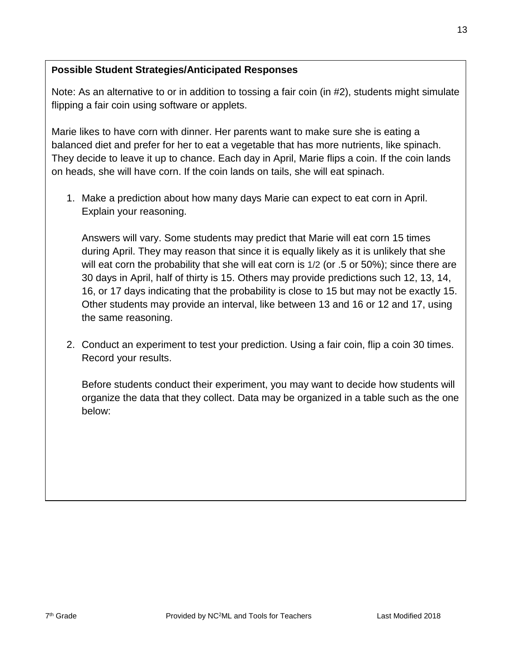Note: As an alternative to or in addition to tossing a fair coin (in #2), students might simulate flipping a fair coin using software or applets.

Marie likes to have corn with dinner. Her parents want to make sure she is eating a balanced diet and prefer for her to eat a vegetable that has more nutrients, like spinach. They decide to leave it up to chance. Each day in April, Marie flips a coin. If the coin lands on heads, she will have corn. If the coin lands on tails, she will eat spinach.

1. Make a prediction about how many days Marie can expect to eat corn in April. Explain your reasoning.

Answers will vary. Some students may predict that Marie will eat corn 15 times during April. They may reason that since it is equally likely as it is unlikely that she will eat corn the probability that she will eat corn is 1/2 (or .5 or 50%); since there are 30 days in April, half of thirty is 15. Others may provide predictions such 12, 13, 14, 16, or 17 days indicating that the probability is close to 15 but may not be exactly 15. Other students may provide an interval, like between 13 and 16 or 12 and 17, using the same reasoning.

2. Conduct an experiment to test your prediction. Using a fair coin, flip a coin 30 times. Record your results.

Before students conduct their experiment, you may want to decide how students will organize the data that they collect. Data may be organized in a table such as the one below: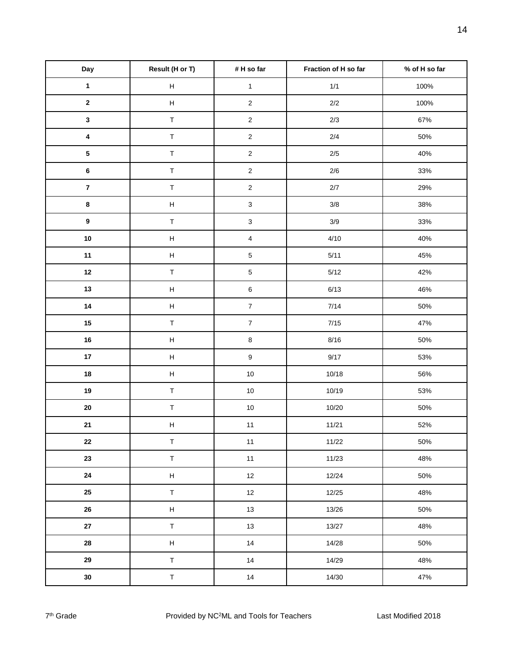| Day                     | Result (H or T)           | # H so far                | Fraction of H so far | % of H so far |
|-------------------------|---------------------------|---------------------------|----------------------|---------------|
| $\mathbf{1}$            | $\boldsymbol{\mathsf{H}}$ | $\mathbf{1}$              | $1/1$                | 100%          |
| $\mathbf 2$             | $\boldsymbol{\mathsf{H}}$ | $\overline{2}$            | $2/2$                | 100%          |
| $\mathbf 3$             | $\top$                    | $\sqrt{2}$                | $2/3$                | 67%           |
| $\overline{\mathbf{4}}$ | $\top$                    | $\overline{2}$            | $2/4$                | 50%           |
| ${\bf 5}$               | $\top$                    | $\sqrt{2}$                | $2/5$                | 40%           |
| $\bf 6$                 | $\top$                    | $\mathbf 2$               | $2/6$                | 33%           |
| $\bf 7$                 | $\top$                    | $\mathbf 2$               | $2/7$                | 29%           |
| $\bf8$                  | $\boldsymbol{\mathsf{H}}$ | $\ensuremath{\mathsf{3}}$ | $3/8$                | 38%           |
| $\boldsymbol{9}$        | $\top$                    | $\ensuremath{\mathsf{3}}$ | $3/9$                | 33%           |
| $10\,$                  | $\boldsymbol{\mathsf{H}}$ | $\overline{\mathbf{4}}$   | 4/10                 | 40%           |
| 11                      | $\boldsymbol{\mathsf{H}}$ | $\,$ 5 $\,$               | 5/11                 | 45%           |
| 12                      | $\top$                    | $\mathbf 5$               | $5/12$               | 42%           |
| 13                      | $\boldsymbol{\mathsf{H}}$ | $\,6$                     | 6/13                 | 46%           |
| $14$                    | $\boldsymbol{\mathsf{H}}$ | $\boldsymbol{7}$          | $7/14$               | 50%           |
| $15\,$                  | $\top$                    | $\boldsymbol{7}$          | $7/15$               | 47%           |
| 16                      | $\boldsymbol{\mathsf{H}}$ | $\bf8$                    | 8/16                 | 50%           |
| $17\,$                  | $\boldsymbol{\mathsf{H}}$ | $\boldsymbol{9}$          | 9/17                 | 53%           |
| ${\bf 18}$              | $\boldsymbol{\mathsf{H}}$ | $10$                      | 10/18                | 56%           |
| 19                      | $\top$                    | $10$                      | 10/19                | 53%           |
| ${\bf 20}$              | $\sf T$                   | $10$                      | 10/20                | 50%           |
| 21                      | $\boldsymbol{\mathsf{H}}$ | $11$                      | 11/21                | 52%           |
| ${\bf 22}$              | $\sf T$                   | $11$                      | 11/22                | 50%           |
| 23                      | $\top$                    | $11$                      | 11/23                | 48%           |
| ${\bf 24}$              | $\boldsymbol{\mathsf{H}}$ | $12\,$                    | 12/24                | 50%           |
| $25\,$                  | $\top$                    | $12\,$                    | 12/25                | 48%           |
| ${\bf 26}$              | $\boldsymbol{\mathsf{H}}$ | $13$                      | 13/26                | 50%           |
| ${\bf 27}$              | $\top$                    | $13$                      | 13/27                | 48%           |
| ${\bf 28}$              | $\boldsymbol{\mathsf{H}}$ | $14$                      | 14/28                | 50%           |
| 29                      | $\top$                    | 14                        | 14/29                | 48%           |
| $30\,$                  | $\top$                    | 14                        | 14/30                | 47%           |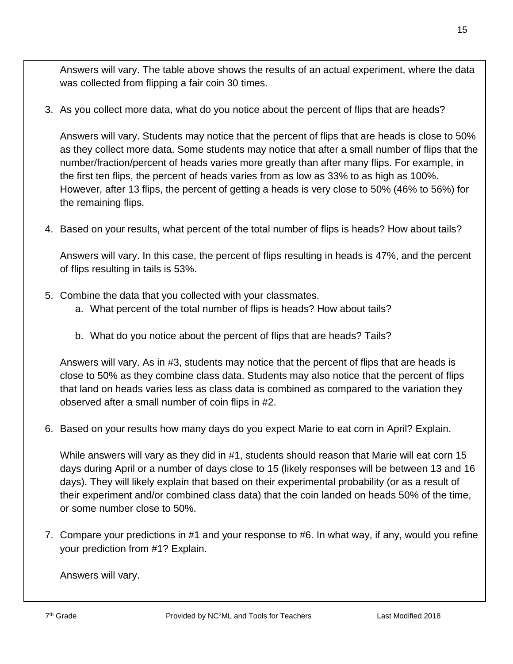Answers will vary. The table above shows the results of an actual experiment, where the data was collected from flipping a fair coin 30 times.

3. As you collect more data, what do you notice about the percent of flips that are heads?

Answers will vary. Students may notice that the percent of flips that are heads is close to 50% as they collect more data. Some students may notice that after a small number of flips that the number/fraction/percent of heads varies more greatly than after many flips. For example, in the first ten flips, the percent of heads varies from as low as 33% to as high as 100%. However, after 13 flips, the percent of getting a heads is very close to 50% (46% to 56%) for the remaining flips.

4. Based on your results, what percent of the total number of flips is heads? How about tails?

Answers will vary. In this case, the percent of flips resulting in heads is 47%, and the percent of flips resulting in tails is 53%.

- 5. Combine the data that you collected with your classmates.
	- a. What percent of the total number of flips is heads? How about tails?
	- b. What do you notice about the percent of flips that are heads? Tails?

Answers will vary. As in #3, students may notice that the percent of flips that are heads is close to 50% as they combine class data. Students may also notice that the percent of flips that land on heads varies less as class data is combined as compared to the variation they observed after a small number of coin flips in #2.

6. Based on your results how many days do you expect Marie to eat corn in April? Explain.

While answers will vary as they did in #1, students should reason that Marie will eat corn 15 days during April or a number of days close to 15 (likely responses will be between 13 and 16 days). They will likely explain that based on their experimental probability (or as a result of their experiment and/or combined class data) that the coin landed on heads 50% of the time, or some number close to 50%.

7. Compare your predictions in #1 and your response to #6. In what way, if any, would you refine your prediction from #1? Explain.

Answers will vary.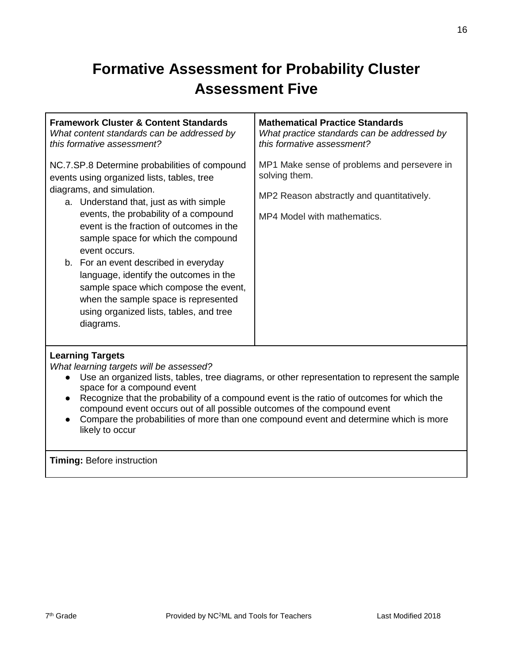# **Formative Assessment for Probability Cluster Assessment Five**

| <b>Framework Cluster &amp; Content Standards</b><br>What content standards can be addressed by<br>this formative assessment?                                                                                                                                                                                                                                                                                                                                                                                                                 | <b>Mathematical Practice Standards</b><br>What practice standards can be addressed by<br>this formative assessment?                      |
|----------------------------------------------------------------------------------------------------------------------------------------------------------------------------------------------------------------------------------------------------------------------------------------------------------------------------------------------------------------------------------------------------------------------------------------------------------------------------------------------------------------------------------------------|------------------------------------------------------------------------------------------------------------------------------------------|
| NC.7.SP.8 Determine probabilities of compound<br>events using organized lists, tables, tree<br>diagrams, and simulation.<br>a. Understand that, just as with simple<br>events, the probability of a compound<br>event is the fraction of outcomes in the<br>sample space for which the compound<br>event occurs.<br>b. For an event described in everyday<br>language, identify the outcomes in the<br>sample space which compose the event,<br>when the sample space is represented<br>using organized lists, tables, and tree<br>diagrams. | MP1 Make sense of problems and persevere in<br>solving them.<br>MP2 Reason abstractly and quantitatively.<br>MP4 Model with mathematics. |
| <b>Learning Targets</b>                                                                                                                                                                                                                                                                                                                                                                                                                                                                                                                      |                                                                                                                                          |

*What learning targets will be assessed?*

- Use an organized lists, tables, tree diagrams, or other representation to represent the sample space for a compound event
- Recognize that the probability of a compound event is the ratio of outcomes for which the compound event occurs out of all possible outcomes of the compound event
- Compare the probabilities of more than one compound event and determine which is more likely to occur

**Timing:** Before instruction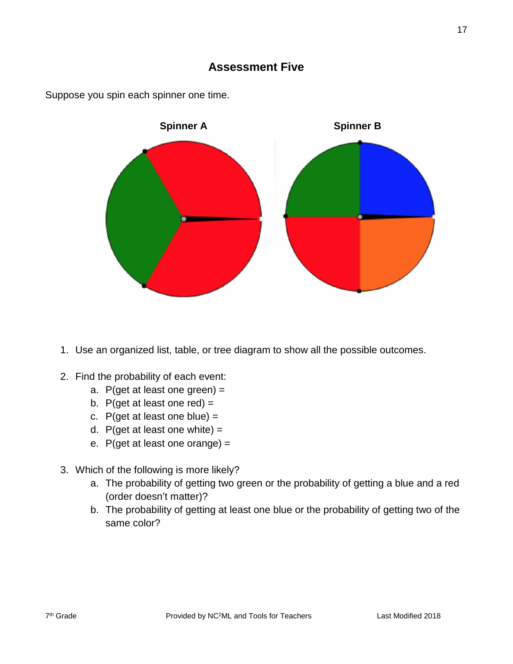

Suppose you spin each spinner one time.

- 1. Use an organized list, table, or tree diagram to show all the possible outcomes.
- 2. Find the probability of each event:
	- a. P(get at least one green) =
	- b. P(get at least one red)  $=$
	- c.  $P$ (get at least one blue) =
	- d. P(get at least one white)  $=$
	- e.  $P$ (get at least one orange) =
- 3. Which of the following is more likely?
	- a. The probability of getting two green or the probability of getting a blue and a red (order doesn't matter)?
	- b. The probability of getting at least one blue or the probability of getting two of the same color?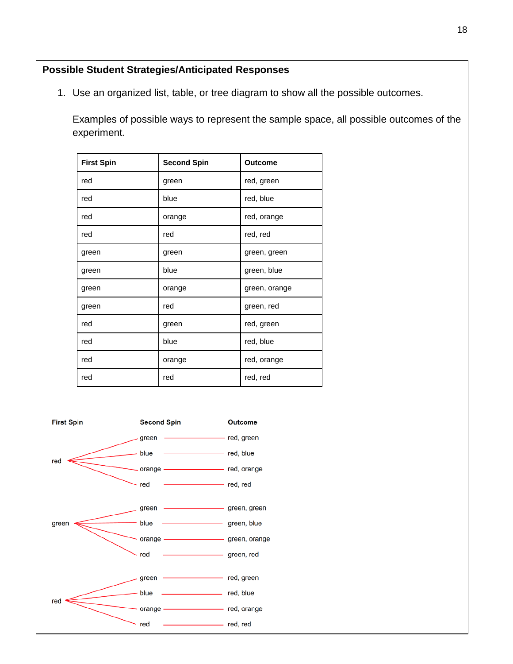1. Use an organized list, table, or tree diagram to show all the possible outcomes.

Examples of possible ways to represent the sample space, all possible outcomes of the experiment.

| <b>First Spin</b> | <b>Second Spin</b> | <b>Outcome</b> |  |
|-------------------|--------------------|----------------|--|
| red               | green              | red, green     |  |
| red               | blue               | red, blue      |  |
| red               | orange             | red, orange    |  |
| red               | red                | red, red       |  |
| green             | green              | green, green   |  |
| green             | blue               | green, blue    |  |
| green             | orange             | green, orange  |  |
| green             | red                | green, red     |  |
| red               | green              | red, green     |  |
| red               | blue               | red, blue      |  |
| red               | orange             | red, orange    |  |
| red               | red                | red, red       |  |

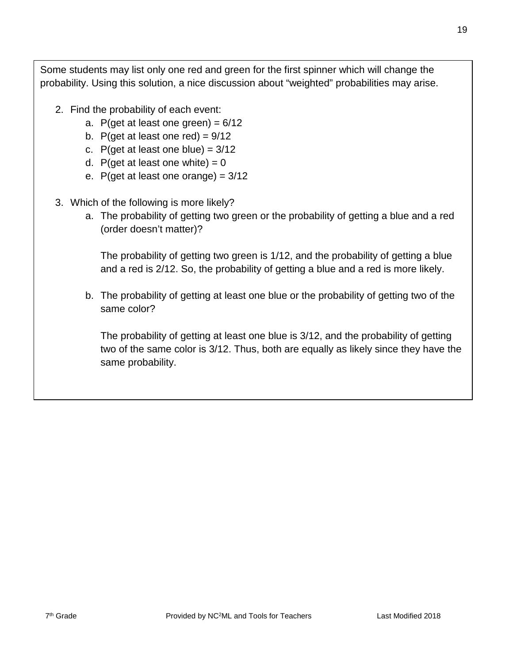Some students may list only one red and green for the first spinner which will change the probability. Using this solution, a nice discussion about "weighted" probabilities may arise.

- 2. Find the probability of each event:
	- a. P(get at least one green) =  $6/12$
	- b. P(get at least one red) =  $9/12$
	- c. P(get at least one blue) =  $3/12$
	- d. P(get at least one white) =  $0$
	- e. P(get at least one orange) =  $3/12$
- 3. Which of the following is more likely?
	- a. The probability of getting two green or the probability of getting a blue and a red (order doesn't matter)?

The probability of getting two green is 1/12, and the probability of getting a blue and a red is 2/12. So, the probability of getting a blue and a red is more likely.

b. The probability of getting at least one blue or the probability of getting two of the same color?

The probability of getting at least one blue is 3/12, and the probability of getting two of the same color is 3/12. Thus, both are equally as likely since they have the same probability.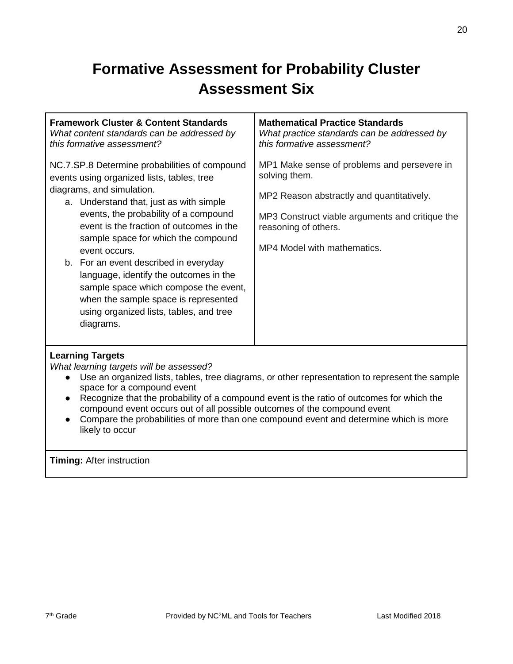# **Formative Assessment for Probability Cluster Assessment Six**

| <b>Framework Cluster &amp; Content Standards</b><br>What content standards can be addressed by<br>this formative assessment?                                                                                                                                                                                                                                                                                                                                                                                                                 | <b>Mathematical Practice Standards</b><br>What practice standards can be addressed by<br>this formative assessment?                                                                                                 |
|----------------------------------------------------------------------------------------------------------------------------------------------------------------------------------------------------------------------------------------------------------------------------------------------------------------------------------------------------------------------------------------------------------------------------------------------------------------------------------------------------------------------------------------------|---------------------------------------------------------------------------------------------------------------------------------------------------------------------------------------------------------------------|
| NC.7.SP.8 Determine probabilities of compound<br>events using organized lists, tables, tree<br>diagrams, and simulation.<br>a. Understand that, just as with simple<br>events, the probability of a compound<br>event is the fraction of outcomes in the<br>sample space for which the compound<br>event occurs.<br>b. For an event described in everyday<br>language, identify the outcomes in the<br>sample space which compose the event,<br>when the sample space is represented<br>using organized lists, tables, and tree<br>diagrams. | MP1 Make sense of problems and persevere in<br>solving them.<br>MP2 Reason abstractly and quantitatively.<br>MP3 Construct viable arguments and critique the<br>reasoning of others.<br>MP4 Model with mathematics. |
| l earning Targets                                                                                                                                                                                                                                                                                                                                                                                                                                                                                                                            |                                                                                                                                                                                                                     |

#### **Learning Targets**

*What learning targets will be assessed?*

- Use an organized lists, tables, tree diagrams, or other representation to represent the sample space for a compound event
- Recognize that the probability of a compound event is the ratio of outcomes for which the compound event occurs out of all possible outcomes of the compound event
- Compare the probabilities of more than one compound event and determine which is more likely to occur

**Timing:** After instruction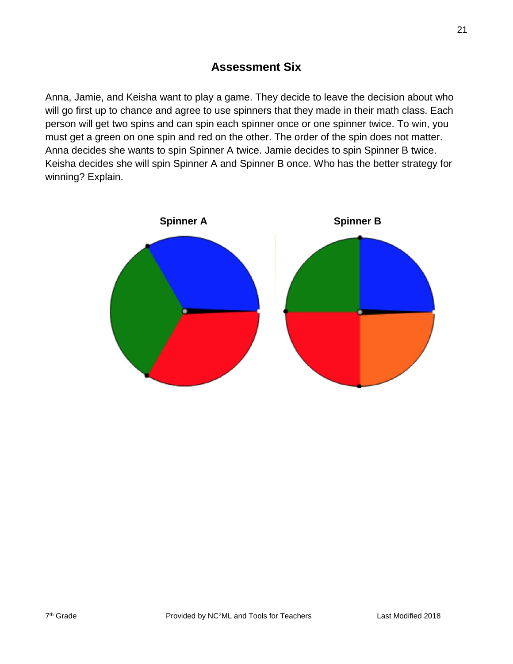## **Assessment Six**

Anna, Jamie, and Keisha want to play a game. They decide to leave the decision about who will go first up to chance and agree to use spinners that they made in their math class. Each person will get two spins and can spin each spinner once or one spinner twice. To win, you must get a green on one spin and red on the other. The order of the spin does not matter. Anna decides she wants to spin Spinner A twice. Jamie decides to spin Spinner B twice. Keisha decides she will spin Spinner A and Spinner B once. Who has the better strategy for winning? Explain.

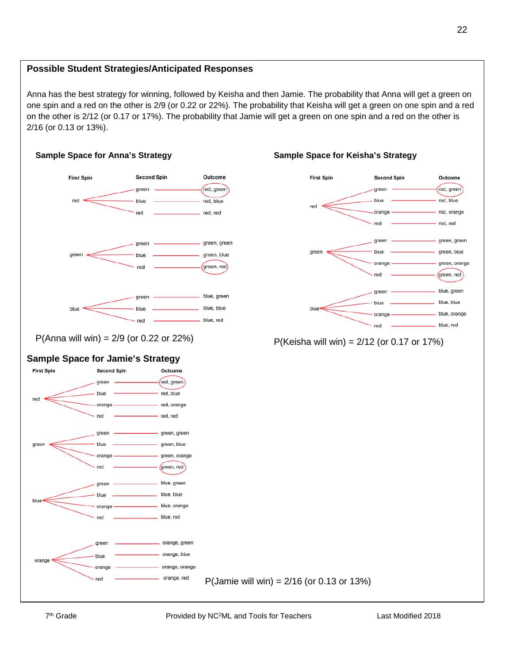Anna has the best strategy for winning, followed by Keisha and then Jamie. The probability that Anna will get a green on one spin and a red on the other is 2/9 (or 0.22 or 22%). The probability that Keisha will get a green on one spin and a red on the other is 2/12 (or 0.17 or 17%). The probability that Jamie will get a green on one spin and a red on the other is 2/16 (or 0.13 or 13%).



P(Anna will win) =  $2/9$  (or 0.22 or 22%)  $P(Keisha will win) = 2/12$  (or 0.17 or 17%)







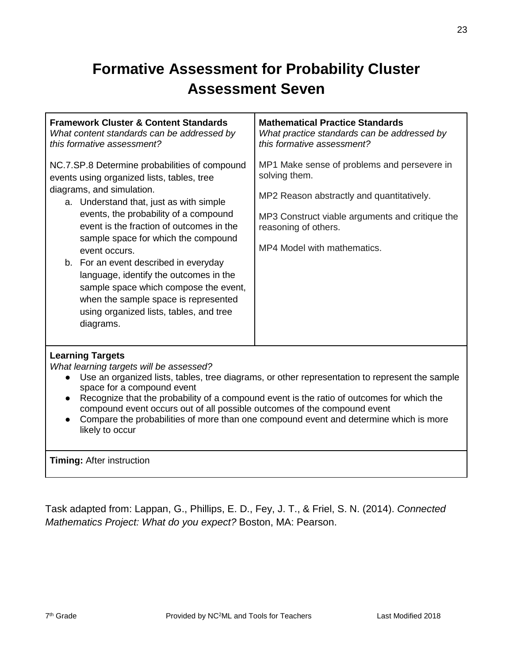# **Formative Assessment for Probability Cluster Assessment Seven**

| <b>Framework Cluster &amp; Content Standards</b><br>What content standards can be addressed by<br>this formative assessment?                                                                                                                                                                                                                                                                                                                                                                                                                 | <b>Mathematical Practice Standards</b><br>What practice standards can be addressed by<br>this formative assessment?                                                                                                 |
|----------------------------------------------------------------------------------------------------------------------------------------------------------------------------------------------------------------------------------------------------------------------------------------------------------------------------------------------------------------------------------------------------------------------------------------------------------------------------------------------------------------------------------------------|---------------------------------------------------------------------------------------------------------------------------------------------------------------------------------------------------------------------|
| NC.7.SP.8 Determine probabilities of compound<br>events using organized lists, tables, tree<br>diagrams, and simulation.<br>a. Understand that, just as with simple<br>events, the probability of a compound<br>event is the fraction of outcomes in the<br>sample space for which the compound<br>event occurs.<br>b. For an event described in everyday<br>language, identify the outcomes in the<br>sample space which compose the event,<br>when the sample space is represented<br>using organized lists, tables, and tree<br>diagrams. | MP1 Make sense of problems and persevere in<br>solving them.<br>MP2 Reason abstractly and quantitatively.<br>MP3 Construct viable arguments and critique the<br>reasoning of others.<br>MP4 Model with mathematics. |
| <b>Learning Targets</b><br>What learning targets will be assessed?                                                                                                                                                                                                                                                                                                                                                                                                                                                                           | Use an organized lists, tables, tree diagrams, or other representation to represent the sample                                                                                                                      |

- Use an organized lists, tables, tree diagrams, or other representation to represent the sample space for a compound event
- Recognize that the probability of a compound event is the ratio of outcomes for which the compound event occurs out of all possible outcomes of the compound event
- Compare the probabilities of more than one compound event and determine which is more likely to occur

**Timing:** After instruction

Task adapted from: Lappan, G., Phillips, E. D., Fey, J. T., & Friel, S. N. (2014). *Connected Mathematics Project: What do you expect?* Boston, MA: Pearson.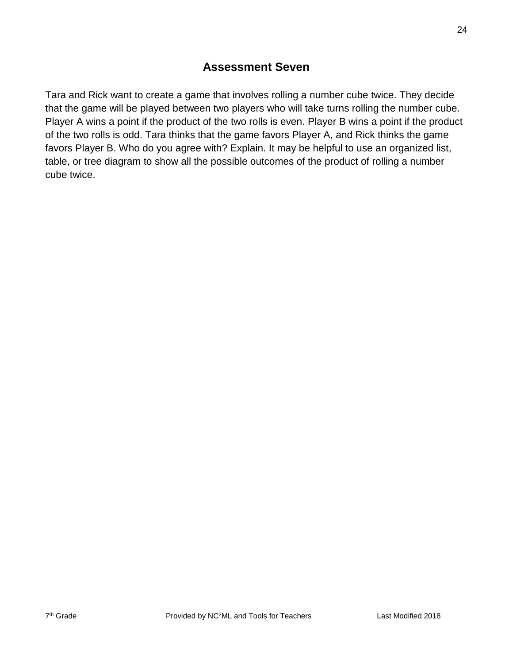## **Assessment Seven**

Tara and Rick want to create a game that involves rolling a number cube twice. They decide that the game will be played between two players who will take turns rolling the number cube. Player A wins a point if the product of the two rolls is even. Player B wins a point if the product of the two rolls is odd. Tara thinks that the game favors Player A, and Rick thinks the game favors Player B. Who do you agree with? Explain. It may be helpful to use an organized list, table, or tree diagram to show all the possible outcomes of the product of rolling a number cube twice.